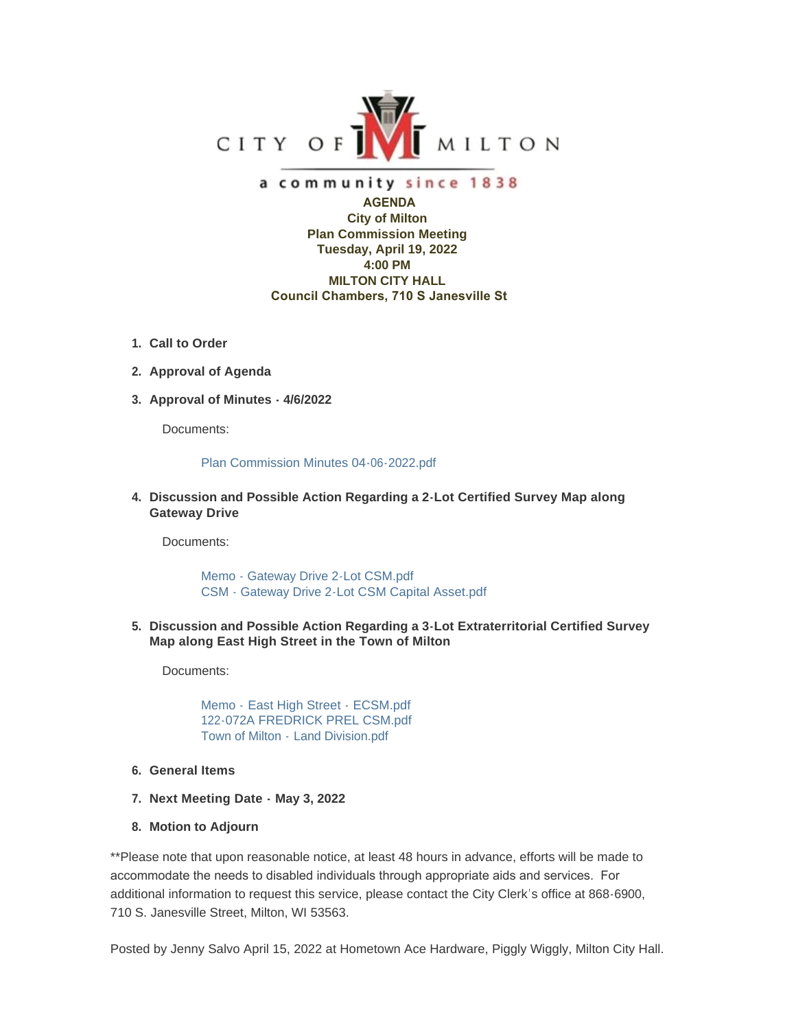

## a community since 1838

 **AGENDA City of Milton Plan Commission Meeting Tuesday, April 19, 2022 4:00 PM MILTON CITY HALL Council Chambers, 710 S Janesville St**

- **Call to Order 1.**
- **Approval of Agenda 2.**
- **Approval of Minutes 4/6/2022 3.**

Documents:

## [Plan Commission Minutes 04-06-2022.pdf](https://www.milton-wi.gov/AgendaCenter/ViewFile/Item/9675?fileID=7559)

## **Discussion and Possible Action Regarding a 2-Lot Certified Survey Map along 4. Gateway Drive**

Documents:

[Memo - Gateway Drive 2-Lot CSM.pdf](https://www.milton-wi.gov/AgendaCenter/ViewFile/Item/9722?fileID=7555) [CSM - Gateway Drive 2-Lot CSM Capital Asset.pdf](https://www.milton-wi.gov/AgendaCenter/ViewFile/Item/9722?fileID=7557)

**Discussion and Possible Action Regarding a 3-Lot Extraterritorial Certified Survey 5. Map along East High Street in the Town of Milton**

Documents:

Memo - [East High Street -](https://www.milton-wi.gov/AgendaCenter/ViewFile/Item/9721?fileID=7562) ECSM.pdf [122-072A FREDRICK PREL CSM.pdf](https://www.milton-wi.gov/AgendaCenter/ViewFile/Item/9721?fileID=7551) Town of Milton - [Land Division.pdf](https://www.milton-wi.gov/AgendaCenter/ViewFile/Item/9721?fileID=7553)

- **General Items 6.**
- **Next Meeting Date - May 3, 2022 7.**
- **Motion to Adjourn 8.**

\*\*Please note that upon reasonable notice, at least 48 hours in advance, efforts will be made to accommodate the needs to disabled individuals through appropriate aids and services. For additional information to request this service, please contact the City Clerk's office at 868-6900, 710 S. Janesville Street, Milton, WI 53563.

Posted by Jenny Salvo April 15, 2022 at Hometown Ace Hardware, Piggly Wiggly, Milton City Hall.